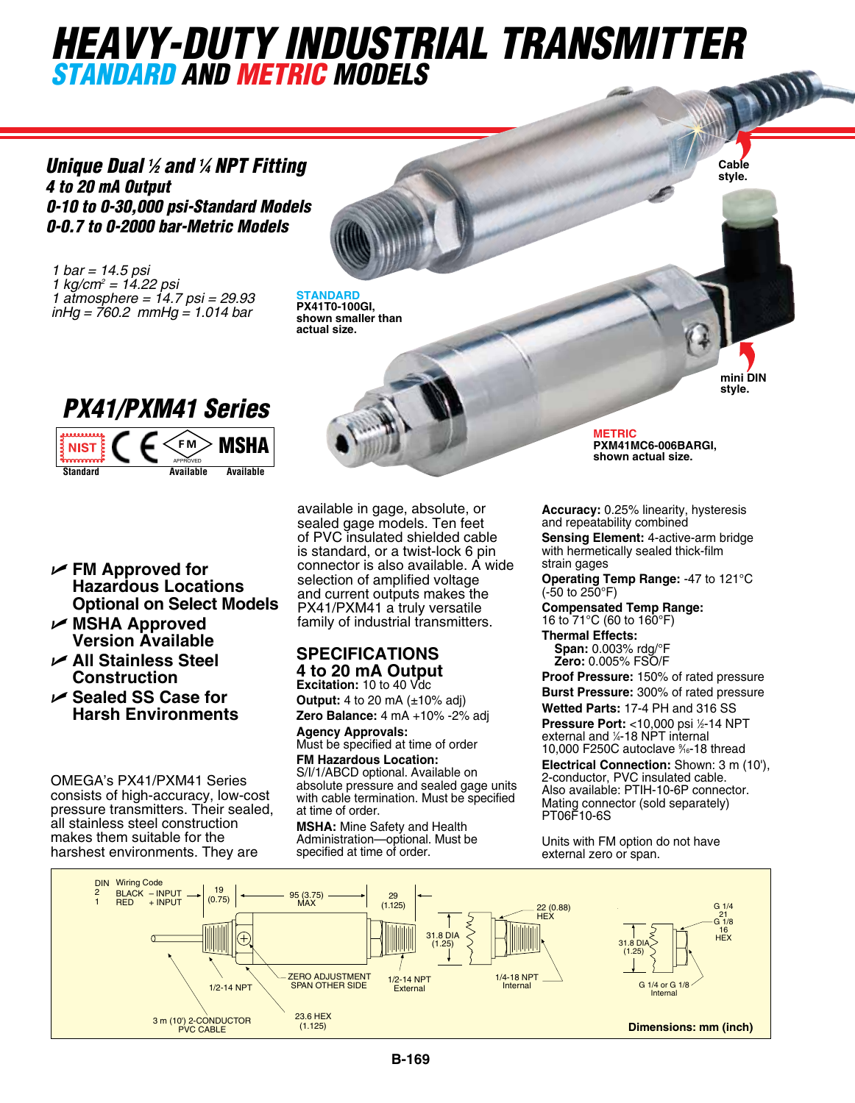# *HEAVY-DUTY INDUSTRIAL TRANSMITTER standard and metric models*

*Unique Dual 1 ⁄2 and 1 ⁄4 NPT Fitting 4 to 20 mA Output 0-10 to 0-30,000 psi-Standard Models 0-0.7 to 0-2000 bar-Metric Models*

*1 bar = 14.5 psi 1 kg/cm2 = 14.22 psi 1 atmosphere = 14.7 psi = 29.93 inHg = 760.2 mmHg = 1.014 bar*

**STANDARD PX41T0-100GI, shown smaller than actual size.**



OMEGA's PX41/PXM41 Series consists of high-accuracy, low-cost pressure transmitters. Their sealed, all stainless steel construction makes them suitable for the harshest environments. They are

U **FM Approved for** 

U **MSHA Approved Version Available** U **All Stainless Steel Construction** U **Sealed SS Case for Harsh Environments**

**Hazardous Locations**

sealed gage models. Ten feet of PVC insulated shielded cable is standard, or a twist-lock 6 pin connector is also available. A wide selection of amplified voltage and current outputs makes the PX41/PXM41 a truly versatile family of industrial transmitters. **Optional on Select Models**

available in gage, absolute, or

#### **Specifications 4 to 20 mA Output Excitation:** 10 to 40 Vdc

**Output:** 4 to 20 mA (±10% adj) **Zero Balance:** 4 mA +10% -2% adj

Agency Approvals: Must be specified at time of order **FM Hazardous Location:** 

S/I/1/ABCD optional. Available on absolute pressure and sealed gage units with cable termination. Must be specified at time of order.

**MSHA:** Mine Safety and Health Administration—optional. Must be specified at time of order.

**METRIC PXM41MC6-006BARGI, shown actual size.**

**Cable style.**

**mini DIN style.**

**Accuracy:** 0.25% linearity, hysteresis and repeatability combined

**Sensing Element:** 4-active-arm bridge with hermetically sealed thick-film strain gages

**Operating Temp Range:** -47 to 121°C  $(-50 \text{ to } 250^{\circ} \text{F})$ 

**Compensated Temp Range:** 16 to 71°C (60 to 160°F)

**Thermal Effects: Span:** 0.003% rdg/°F **Zero:** 0.005% FSO/F

e specified at time of order  $10,000$  F250C autoclave  $\frac{\%}{10}$ -18 thread **Proof Pressure:** 150% of rated pressure **Burst Pressure:** 300% of rated pressure **Wetted Parts:** 17-4 PH and 316 SS **Pressure Port:** <10,000 psi ½-14 NPT external and ¼-18 NPT internal

**Electrical Connection:** Shown: 3 m (10'), 2-conductor, PVC insulated cable. Also available: PTIH-10-6P connector. Mating connector (sold separately) PT06F10-6S

Units with FM option do not have external zero or span.

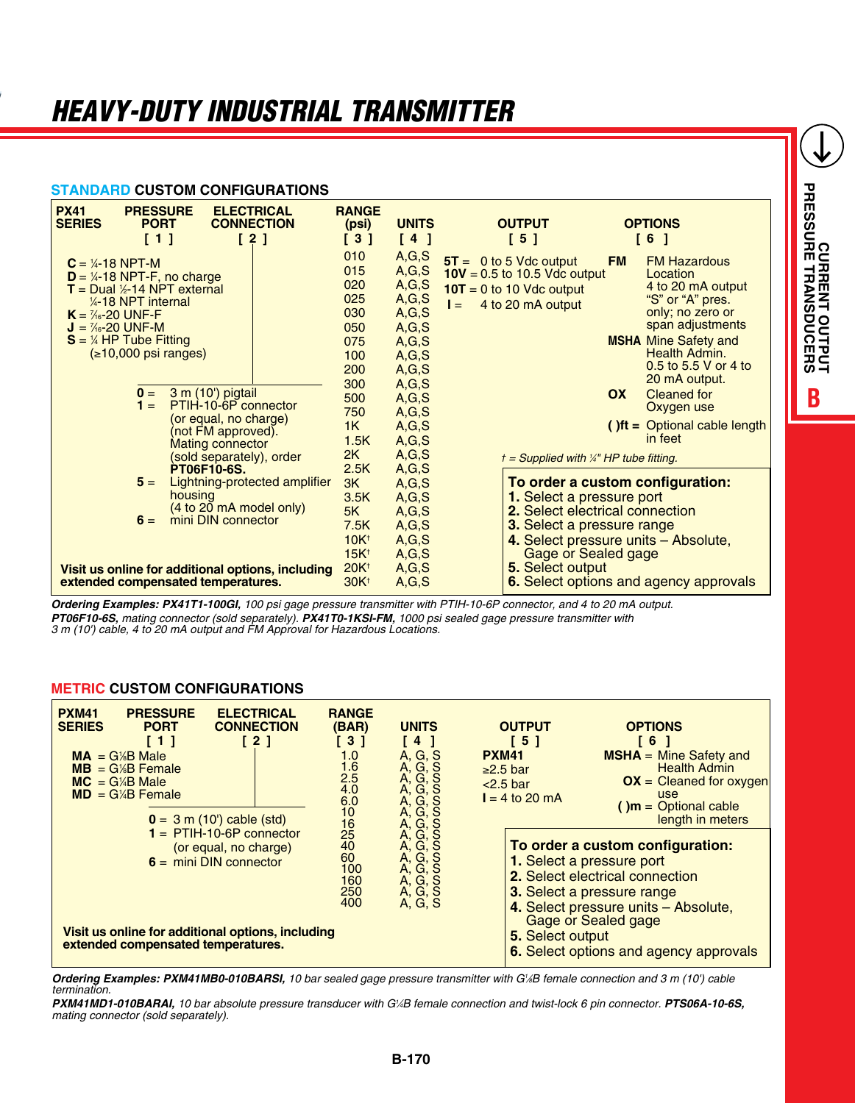### **standard CUSTOM CONFIGURATIONS**

| <b>PX41</b><br><b>PRESSURE</b><br><b>ELECTRICAL</b><br><b>SERIES</b><br><b>PORT</b><br><b>CONNECTION</b><br>[1]<br>[2]                                                                                                                                                                                                                                                                                                                                               | <b>RANGE</b><br>(psi)<br>[3]                                                                                     | <b>UNITS</b><br>[4]                                                                                                                                             | <b>OUTPUT</b><br><b>OPTIONS</b><br>[5]<br>[6]                                                                                                                                                                                                                                                                                                                                                                                                                                                    |
|----------------------------------------------------------------------------------------------------------------------------------------------------------------------------------------------------------------------------------------------------------------------------------------------------------------------------------------------------------------------------------------------------------------------------------------------------------------------|------------------------------------------------------------------------------------------------------------------|-----------------------------------------------------------------------------------------------------------------------------------------------------------------|--------------------------------------------------------------------------------------------------------------------------------------------------------------------------------------------------------------------------------------------------------------------------------------------------------------------------------------------------------------------------------------------------------------------------------------------------------------------------------------------------|
| $C = 4-18$ NPT-M<br>$D = \frac{1}{4} - 18$ NPT-F, no charge<br>$T =$ Dual $\frac{1}{2}$ -14 NPT external<br>$\frac{1}{4}$ -18 NPT internal<br>$K = \frac{7}{6} - 20$ UNF-F<br>$J = \frac{7}{6} - 20$ UNF-M<br>$S = \frac{1}{4}$ HP Tube Fitting<br>$( \ge 10,000 \text{ psi ranges} )$<br>3 m (10') pigtail<br>$\mathbf{0} =$<br>PTIH-10-6P connector<br>$1 =$<br>(or equal, no charge)<br>(not FM approved).<br><b>Mating connector</b><br>(sold separately), order | 010<br>015<br>020<br>025<br>030<br>050<br>075<br>100<br>200<br>300<br>500<br>750<br>1K<br>1.5K<br>2K             | A, G, S<br>A, G, S<br>A, G, S<br>A, G, S<br>A,G,S<br>A, G, S<br>A, G, S<br>A, G, S<br>A, G, S<br>A, G, S<br>A, G, S<br>A, G, S<br>A, G, S<br>A, G, S<br>A, G, S | $5T = 0$ to 5 Vdc output<br><b>FM Hazardous</b><br><b>FM</b><br>$10V = 0.5$ to 10.5 Vdc output<br>Location<br>4 to 20 mA output<br>$10T = 0$ to 10 Vdc output<br>"S" or "A" pres.<br>4 to 20 mA output<br>$I =$<br>only; no zero or<br>span adjustments<br><b>MSHA</b> Mine Safety and<br>Health Admin.<br>0.5 to 5.5 V or 4 to<br>20 mA output.<br>OX<br><b>Cleaned for</b><br>Oxygen use<br>$()$ ft = Optional cable length<br>in feet<br>$t =$ Supplied with $\frac{1}{4}$ " HP tube fitting. |
| PT06F10-6S.<br>$5 =$<br>Lightning-protected amplifier<br>housing<br>(4 to 20 mA model only)<br>mini DIN connector<br>$6 =$<br>Visit us online for additional options, including<br>extended compensated temperatures.                                                                                                                                                                                                                                                | 2.5K<br>3K<br>3.5K<br>5K<br>7.5K<br>10K <sup>†</sup><br>15K <sup>†</sup><br>20K <sup>†</sup><br>30K <sup>+</sup> | A, G, S<br>A, G, S<br>A, G, S<br>A, G, S<br>A, G, S<br>A, G, S<br>A, G, S<br>A,G,S<br>A, G, S                                                                   | To order a custom configuration:<br>1. Select a pressure port<br>2. Select electrical connection<br>3. Select a pressure range<br>4. Select pressure units – Absolute,<br>Gage or Sealed gage<br>5. Select output<br><b>6.</b> Select options and agency approvals                                                                                                                                                                                                                               |

*Ordering Examples: PX41T1-100GI, 100 psi gage pressure transmitter with PTIH-10-6P connector, and 4 to 20 mA output. PT06F10-6S, mating connector (sold separately). PX41T0-1KSI-FM, 1000 psi sealed gage pressure transmitter with 3 m (10') cable, 4 to 20 mA output and FM Approval for Hazardous Locations.* 

#### **metric CUSTOM CONFIGURATIONS**

| <b>PXM41</b><br><b>PRESSURE</b><br><b>ELECTRICAL</b><br><b>SERIES</b><br><b>CONNECTION</b><br><b>PORT</b><br>[2]<br>$\lceil 1 \rceil$<br>$MA = G/B Male$<br>$MB = G/B$ Female<br>$MC = G/4B$ Male<br>$MD = G/4B$ Female<br>$0 = 3$ m (10') cable (std) | <b>RANGE</b><br>(BAR)<br>[3]<br>1.0<br>$\frac{1.6}{2.5}$<br>4.0<br>6.0<br>Α, | <b>UNITS</b><br>-4<br>A, G, S<br>A, G, S<br>A, G, S<br>A, G, S<br><sub>S</sub><br>G,<br>$\frac{10}{16}$<br>-S<br>A, G,<br>A, G, S<br>A, G, S<br>A, G, S<br>25<br>A, G,<br><sub>S</sub><br>A, G, S<br>A, G, S<br>100<br>160<br>A, G, S<br>A, G, S | <b>OUTPUT</b><br>151<br><b>PXM41</b><br>$\geq$ 2.5 bar<br>$<$ 2.5 bar<br>$I = 4$ to 20 mA | <b>OPTIONS</b><br>16<br><b>MSHA</b> = Mine Safety and<br><b>Health Admin</b><br>$OX = Cleaned$ for oxygen<br>use<br>$(m = \text{Optional cable})$<br>length in meters                                                                                       |
|--------------------------------------------------------------------------------------------------------------------------------------------------------------------------------------------------------------------------------------------------------|------------------------------------------------------------------------------|--------------------------------------------------------------------------------------------------------------------------------------------------------------------------------------------------------------------------------------------------|-------------------------------------------------------------------------------------------|-------------------------------------------------------------------------------------------------------------------------------------------------------------------------------------------------------------------------------------------------------------|
| $1 = \overline{PTIH} - 10 - 6P$ connector<br>(or equal, no charge)<br>$6 =$ mini DIN connector<br>Visit us online for additional options, including<br>extended compensated temperatures.                                                              | 40<br>60<br>250<br>400                                                       |                                                                                                                                                                                                                                                  |                                                                                           | To order a custom configuration:<br>1. Select a pressure port<br>2. Select electrical connection<br>3. Select a pressure range<br>4. Select pressure units - Absolute,<br>Gage or Sealed gage<br>5. Select output<br>6. Select options and agency approvals |

*Ordering Examples: PXM41MB0-010BARSI, 10 bar sealed gage pressure transmitter with G1 ⁄8B female connection and 3 m (10') cable termination.*

*PXM41MD1-010BARAI, 10 bar absolute pressure transducer with G1 ⁄4B female connection and twist-lock 6 pin connector. PTS06A-10-6S, mating connector (sold separately).*